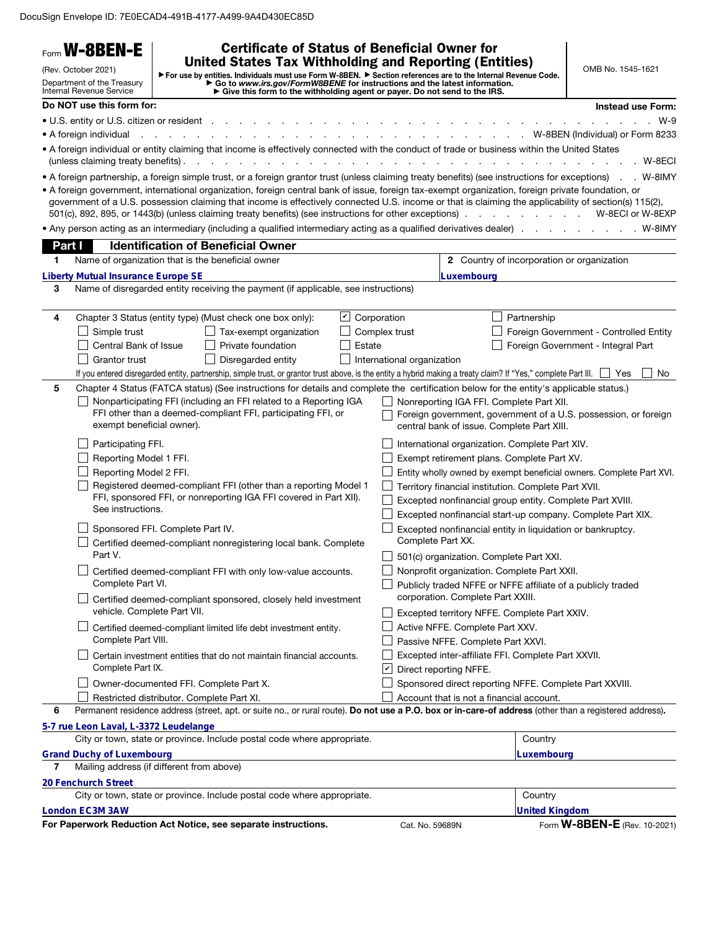DocuSign Envelope ID: 7E0ECAD4-491B-4177-A499-9A4D430EC85D

|        | Form W-8BEN-E                                                                                                                                                                                                                                                                                                                                                                                                                      |                                                              |                                                                      | <b>Certificate of Status of Beneficial Owner for</b> |                 |               |                                                              |                                          |                                                    |                                                                                                                                                                                       |
|--------|------------------------------------------------------------------------------------------------------------------------------------------------------------------------------------------------------------------------------------------------------------------------------------------------------------------------------------------------------------------------------------------------------------------------------------|--------------------------------------------------------------|----------------------------------------------------------------------|------------------------------------------------------|-----------------|---------------|--------------------------------------------------------------|------------------------------------------|----------------------------------------------------|---------------------------------------------------------------------------------------------------------------------------------------------------------------------------------------|
|        | <b>United States Tax Withholding and Reporting (Entities)</b><br>(Rev. October 2021)<br>For use by entities. Individuals must use Form W-8BEN. Fection references are to the Internal Revenue Code.<br>► Go to www.irs.gov/FormW8BENE for instructions and the latest information.<br>► Give this form to the withholding agent or payer. Do not send to the IRS.<br>Department of the Treasury<br><b>Internal Revenue Service</b> |                                                              |                                                                      |                                                      |                 |               | OMB No. 1545-1621                                            |                                          |                                                    |                                                                                                                                                                                       |
|        | Do NOT use this form for:                                                                                                                                                                                                                                                                                                                                                                                                          |                                                              |                                                                      |                                                      |                 |               |                                                              |                                          |                                                    | <b>Instead use Form:</b>                                                                                                                                                              |
|        | • U.S. entity or U.S. citizen or resident                                                                                                                                                                                                                                                                                                                                                                                          |                                                              |                                                                      |                                                      |                 |               |                                                              |                                          |                                                    | W-9                                                                                                                                                                                   |
|        | • A foreign individual                                                                                                                                                                                                                                                                                                                                                                                                             |                                                              |                                                                      |                                                      |                 |               |                                                              |                                          |                                                    | . W-8BEN (Individual) or Form 8233                                                                                                                                                    |
|        | . A foreign individual or entity claiming that income is effectively connected with the conduct of trade or business within the United States<br>(unless claiming treaty benefits).                                                                                                                                                                                                                                                |                                                              |                                                                      |                                                      |                 |               |                                                              |                                          |                                                    | .W-8ECI                                                                                                                                                                               |
|        | • A foreign partnership, a foreign simple trust, or a foreign grantor trust (unless claiming treaty benefits) (see instructions for exceptions)<br>• A foreign government, international organization, foreign central bank of issue, foreign tax-exempt organization, foreign private foundation, or<br>501(c), 892, 895, or 1443(b) (unless claiming treaty benefits) (see instructions for other exceptions).                   |                                                              |                                                                      |                                                      |                 |               |                                                              |                                          | the contract of the contract of the con-           | . W-8IMY<br>government of a U.S. possession claiming that income is effectively connected U.S. income or that is claiming the applicability of section(s) 115(2),<br>W-8ECI or W-8EXP |
|        | • Any person acting as an intermediary (including a qualified intermediary acting as a qualified derivatives dealer)                                                                                                                                                                                                                                                                                                               |                                                              |                                                                      |                                                      |                 |               |                                                              |                                          |                                                    | . W-8IMY                                                                                                                                                                              |
| Part I |                                                                                                                                                                                                                                                                                                                                                                                                                                    |                                                              | <b>Identification of Beneficial Owner</b>                            |                                                      |                 |               |                                                              |                                          |                                                    |                                                                                                                                                                                       |
| 1.     | Name of organization that is the beneficial owner                                                                                                                                                                                                                                                                                                                                                                                  |                                                              |                                                                      |                                                      |                 |               |                                                              |                                          | 2 Country of incorporation or organization         |                                                                                                                                                                                       |
|        | <b>Liberty Mutual Insurance Europe SE</b>                                                                                                                                                                                                                                                                                                                                                                                          |                                                              |                                                                      |                                                      |                 |               |                                                              | Luxembourg                               |                                                    |                                                                                                                                                                                       |
| 3      | Name of disregarded entity receiving the payment (if applicable, see instructions)                                                                                                                                                                                                                                                                                                                                                 |                                                              |                                                                      |                                                      |                 |               |                                                              |                                          |                                                    |                                                                                                                                                                                       |
| 4      | Chapter 3 Status (entity type) (Must check one box only):                                                                                                                                                                                                                                                                                                                                                                          |                                                              |                                                                      |                                                      | $ \mathcal{V} $ | Corporation   |                                                              |                                          | Partnership                                        |                                                                                                                                                                                       |
|        | Simple trust                                                                                                                                                                                                                                                                                                                                                                                                                       |                                                              |                                                                      | Tax-exempt organization                              |                 | Complex trust |                                                              |                                          |                                                    | Foreign Government - Controlled Entity                                                                                                                                                |
|        | Central Bank of Issue                                                                                                                                                                                                                                                                                                                                                                                                              |                                                              | Private foundation                                                   |                                                      | Estate          |               |                                                              |                                          |                                                    | Foreign Government - Integral Part                                                                                                                                                    |
|        | <b>Grantor trust</b>                                                                                                                                                                                                                                                                                                                                                                                                               |                                                              | Disregarded entity                                                   |                                                      |                 |               | International organization                                   |                                          |                                                    |                                                                                                                                                                                       |
|        | If you entered disregarded entity, partnership, simple trust, or grantor trust above, is the entity a hybrid making a treaty claim? If "Yes," complete Part III.                                                                                                                                                                                                                                                                   |                                                              |                                                                      |                                                      |                 |               |                                                              |                                          |                                                    | No.<br>Yes                                                                                                                                                                            |
| 5      | Chapter 4 Status (FATCA status) (See instructions for details and complete the certification below for the entity's applicable status.)                                                                                                                                                                                                                                                                                            |                                                              |                                                                      |                                                      |                 |               |                                                              |                                          |                                                    |                                                                                                                                                                                       |
|        |                                                                                                                                                                                                                                                                                                                                                                                                                                    |                                                              | Nonparticipating FFI (including an FFI related to a Reporting IGA    |                                                      |                 |               |                                                              |                                          | Nonreporting IGA FFI. Complete Part XII.           |                                                                                                                                                                                       |
|        |                                                                                                                                                                                                                                                                                                                                                                                                                                    |                                                              | FFI other than a deemed-compliant FFI, participating FFI, or         |                                                      |                 |               |                                                              |                                          |                                                    | Foreign government, government of a U.S. possession, or foreign                                                                                                                       |
|        | exempt beneficial owner).                                                                                                                                                                                                                                                                                                                                                                                                          |                                                              |                                                                      |                                                      |                 |               |                                                              |                                          | central bank of issue. Complete Part XIII.         |                                                                                                                                                                                       |
|        | Participating FFI.                                                                                                                                                                                                                                                                                                                                                                                                                 |                                                              |                                                                      |                                                      |                 |               | International organization. Complete Part XIV.               |                                          |                                                    |                                                                                                                                                                                       |
|        | Reporting Model 1 FFI.                                                                                                                                                                                                                                                                                                                                                                                                             |                                                              |                                                                      |                                                      |                 |               |                                                              |                                          | Exempt retirement plans. Complete Part XV.         |                                                                                                                                                                                       |
|        | Reporting Model 2 FFI.                                                                                                                                                                                                                                                                                                                                                                                                             |                                                              |                                                                      |                                                      |                 |               |                                                              |                                          |                                                    | Entity wholly owned by exempt beneficial owners. Complete Part XVI.                                                                                                                   |
|        |                                                                                                                                                                                                                                                                                                                                                                                                                                    |                                                              | Registered deemed-compliant FFI (other than a reporting Model 1      |                                                      |                 |               | Territory financial institution. Complete Part XVII.         |                                          |                                                    |                                                                                                                                                                                       |
|        |                                                                                                                                                                                                                                                                                                                                                                                                                                    |                                                              | FFI, sponsored FFI, or nonreporting IGA FFI covered in Part XII).    |                                                      |                 |               |                                                              |                                          |                                                    | Excepted nonfinancial group entity. Complete Part XVIII.                                                                                                                              |
|        | See instructions.                                                                                                                                                                                                                                                                                                                                                                                                                  |                                                              |                                                                      |                                                      |                 |               |                                                              |                                          |                                                    | Excepted nonfinancial start-up company. Complete Part XIX.                                                                                                                            |
|        | Sponsored FFI. Complete Part IV.                                                                                                                                                                                                                                                                                                                                                                                                   |                                                              |                                                                      |                                                      |                 |               |                                                              |                                          |                                                    | Excepted nonfinancial entity in liquidation or bankruptcy.                                                                                                                            |
|        |                                                                                                                                                                                                                                                                                                                                                                                                                                    |                                                              | Certified deemed-compliant nonregistering local bank. Complete       |                                                      |                 |               | Complete Part XX.<br>501(c) organization. Complete Part XXI. |                                          |                                                    |                                                                                                                                                                                       |
|        | Part V.                                                                                                                                                                                                                                                                                                                                                                                                                            |                                                              |                                                                      |                                                      |                 |               |                                                              |                                          |                                                    |                                                                                                                                                                                       |
|        |                                                                                                                                                                                                                                                                                                                                                                                                                                    | Certified deemed-compliant FFI with only low-value accounts. |                                                                      |                                                      |                 |               | Nonprofit organization. Complete Part XXII.                  |                                          |                                                    |                                                                                                                                                                                       |
|        | Complete Part VI.                                                                                                                                                                                                                                                                                                                                                                                                                  |                                                              |                                                                      |                                                      |                 |               |                                                              |                                          |                                                    | Publicly traded NFFE or NFFE affiliate of a publicly traded                                                                                                                           |
|        |                                                                                                                                                                                                                                                                                                                                                                                                                                    |                                                              | Certified deemed-compliant sponsored, closely held investment        |                                                      |                 |               |                                                              | corporation. Complete Part XXIII.        |                                                    |                                                                                                                                                                                       |
|        | vehicle. Complete Part VII.                                                                                                                                                                                                                                                                                                                                                                                                        |                                                              |                                                                      |                                                      |                 |               |                                                              |                                          | Excepted territory NFFE. Complete Part XXIV.       |                                                                                                                                                                                       |
|        |                                                                                                                                                                                                                                                                                                                                                                                                                                    |                                                              | Certified deemed-compliant limited life debt investment entity.      |                                                      |                 |               |                                                              | Active NFFE. Complete Part XXV.          |                                                    |                                                                                                                                                                                       |
|        | Complete Part VIII.                                                                                                                                                                                                                                                                                                                                                                                                                |                                                              |                                                                      |                                                      |                 |               |                                                              | Passive NFFE. Complete Part XXVI.        |                                                    |                                                                                                                                                                                       |
|        |                                                                                                                                                                                                                                                                                                                                                                                                                                    |                                                              | Certain investment entities that do not maintain financial accounts. |                                                      |                 |               |                                                              |                                          | Excepted inter-affiliate FFI. Complete Part XXVII. |                                                                                                                                                                                       |
|        | Complete Part IX.                                                                                                                                                                                                                                                                                                                                                                                                                  |                                                              |                                                                      |                                                      |                 | ⊻             |                                                              | Direct reporting NFFE.                   |                                                    |                                                                                                                                                                                       |
|        |                                                                                                                                                                                                                                                                                                                                                                                                                                    |                                                              | Owner-documented FFI. Complete Part X.                               |                                                      |                 |               |                                                              |                                          |                                                    | Sponsored direct reporting NFFE. Complete Part XXVIII.                                                                                                                                |
| 6      |                                                                                                                                                                                                                                                                                                                                                                                                                                    |                                                              | Restricted distributor. Complete Part XI.                            |                                                      |                 |               |                                                              | Account that is not a financial account. |                                                    | Permanent residence address (street, apt. or suite no., or rural route). Do not use a P.O. box or in-care-of address (other than a registered address).                               |
|        |                                                                                                                                                                                                                                                                                                                                                                                                                                    |                                                              |                                                                      |                                                      |                 |               |                                                              |                                          |                                                    |                                                                                                                                                                                       |
|        | 5-7 rue Leon Laval, L-3372 Leudelange<br>City or town, state or province. Include postal code where appropriate.                                                                                                                                                                                                                                                                                                                   |                                                              |                                                                      |                                                      |                 |               |                                                              |                                          | Country                                            |                                                                                                                                                                                       |
|        | <b>Grand Duchy of Luxembourg</b>                                                                                                                                                                                                                                                                                                                                                                                                   |                                                              |                                                                      |                                                      |                 |               |                                                              |                                          | Luxembourg                                         |                                                                                                                                                                                       |
| 7      | Mailing address (if different from above)                                                                                                                                                                                                                                                                                                                                                                                          |                                                              |                                                                      |                                                      |                 |               |                                                              |                                          |                                                    |                                                                                                                                                                                       |
|        | 20 Fenchurch Street                                                                                                                                                                                                                                                                                                                                                                                                                |                                                              |                                                                      |                                                      |                 |               |                                                              |                                          |                                                    |                                                                                                                                                                                       |
|        | City or town, state or province. Include postal code where appropriate.                                                                                                                                                                                                                                                                                                                                                            |                                                              |                                                                      |                                                      |                 |               |                                                              |                                          | Country                                            |                                                                                                                                                                                       |
|        | <b>London EC3M 3AW</b>                                                                                                                                                                                                                                                                                                                                                                                                             |                                                              |                                                                      |                                                      |                 |               |                                                              |                                          | <b>United Kingdom</b>                              |                                                                                                                                                                                       |
|        | For Paperwork Reduction Act Notice, see separate instructions.                                                                                                                                                                                                                                                                                                                                                                     |                                                              |                                                                      |                                                      |                 |               | Cat. No. 59689N                                              |                                          |                                                    | Form <b>W-8BEN-E</b> (Rev. 10-2021)                                                                                                                                                   |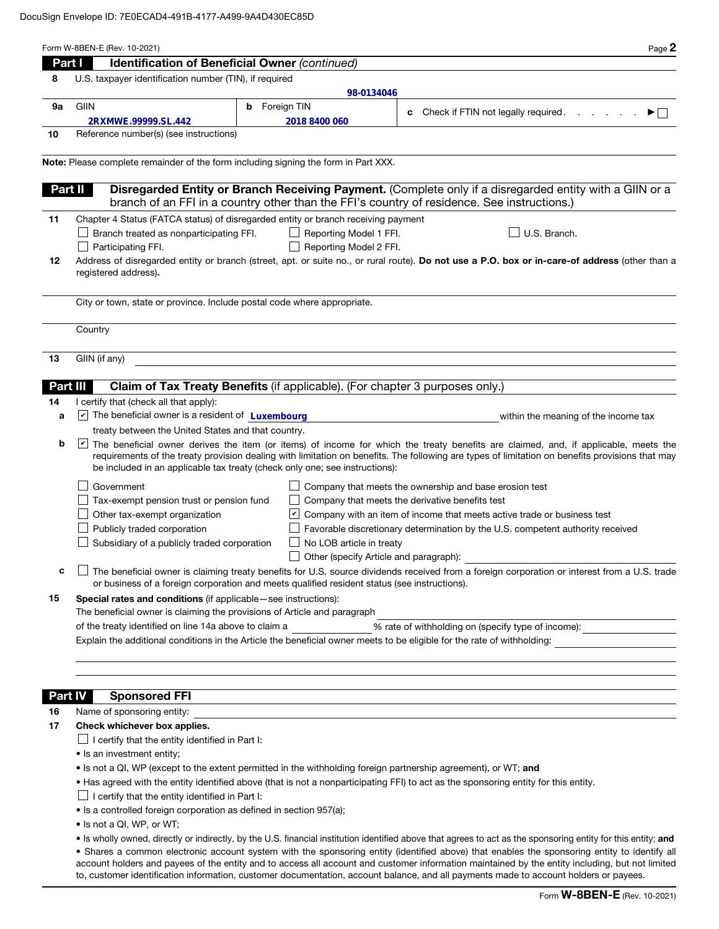|    | Form W-8BEN-E (Rev. 10-2021)                                                                                                              |                                        | Page 2                                                                                                                                                                                                                                                                                                                                                                                                                                   |  |  |  |  |
|----|-------------------------------------------------------------------------------------------------------------------------------------------|----------------------------------------|------------------------------------------------------------------------------------------------------------------------------------------------------------------------------------------------------------------------------------------------------------------------------------------------------------------------------------------------------------------------------------------------------------------------------------------|--|--|--|--|
|    | Identification of Beneficial Owner (continued)<br>Part I                                                                                  |                                        |                                                                                                                                                                                                                                                                                                                                                                                                                                          |  |  |  |  |
| 8  | U.S. taxpayer identification number (TIN), if required                                                                                    |                                        |                                                                                                                                                                                                                                                                                                                                                                                                                                          |  |  |  |  |
|    |                                                                                                                                           | 98-0134046                             |                                                                                                                                                                                                                                                                                                                                                                                                                                          |  |  |  |  |
| 9a | GIIN                                                                                                                                      | <b>b</b> Foreign TIN                   | Check if FTIN not legally required.<br>▶⊟<br>c                                                                                                                                                                                                                                                                                                                                                                                           |  |  |  |  |
|    | 2RXMWE.99999.SL.442                                                                                                                       | 2018 8400 060                          |                                                                                                                                                                                                                                                                                                                                                                                                                                          |  |  |  |  |
| 10 | Reference number(s) (see instructions)                                                                                                    |                                        |                                                                                                                                                                                                                                                                                                                                                                                                                                          |  |  |  |  |
|    | Note: Please complete remainder of the form including signing the form in Part XXX.                                                       |                                        |                                                                                                                                                                                                                                                                                                                                                                                                                                          |  |  |  |  |
|    | Part II                                                                                                                                   |                                        | Disregarded Entity or Branch Receiving Payment. (Complete only if a disregarded entity with a GIIN or a<br>branch of an FFI in a country other than the FFI's country of residence. See instructions.)                                                                                                                                                                                                                                   |  |  |  |  |
| 11 | Chapter 4 Status (FATCA status) of disregarded entity or branch receiving payment                                                         |                                        |                                                                                                                                                                                                                                                                                                                                                                                                                                          |  |  |  |  |
|    | Branch treated as nonparticipating FFI.                                                                                                   | Reporting Model 1 FFI.                 | U.S. Branch.                                                                                                                                                                                                                                                                                                                                                                                                                             |  |  |  |  |
|    | Participating FFI.                                                                                                                        | Reporting Model 2 FFI.                 |                                                                                                                                                                                                                                                                                                                                                                                                                                          |  |  |  |  |
| 12 |                                                                                                                                           |                                        | Address of disregarded entity or branch (street, apt. or suite no., or rural route). Do not use a P.O. box or in-care-of address (other than a                                                                                                                                                                                                                                                                                           |  |  |  |  |
|    | registered address).                                                                                                                      |                                        |                                                                                                                                                                                                                                                                                                                                                                                                                                          |  |  |  |  |
|    | City or town, state or province. Include postal code where appropriate.                                                                   |                                        |                                                                                                                                                                                                                                                                                                                                                                                                                                          |  |  |  |  |
|    | Country                                                                                                                                   |                                        |                                                                                                                                                                                                                                                                                                                                                                                                                                          |  |  |  |  |
| 13 | GIIN (if any)                                                                                                                             |                                        |                                                                                                                                                                                                                                                                                                                                                                                                                                          |  |  |  |  |
|    |                                                                                                                                           |                                        |                                                                                                                                                                                                                                                                                                                                                                                                                                          |  |  |  |  |
|    | Claim of Tax Treaty Benefits (if applicable). (For chapter 3 purposes only.)<br>Part III                                                  |                                        |                                                                                                                                                                                                                                                                                                                                                                                                                                          |  |  |  |  |
| 14 | I certify that (check all that apply):                                                                                                    |                                        |                                                                                                                                                                                                                                                                                                                                                                                                                                          |  |  |  |  |
| a  | $\triangleright$ The beneficial owner is a resident of Luxembourg                                                                         |                                        | within the meaning of the income tax                                                                                                                                                                                                                                                                                                                                                                                                     |  |  |  |  |
|    | treaty between the United States and that country.                                                                                        |                                        |                                                                                                                                                                                                                                                                                                                                                                                                                                          |  |  |  |  |
| b  | ⊻<br>be included in an applicable tax treaty (check only one; see instructions):                                                          |                                        | The beneficial owner derives the item (or items) of income for which the treaty benefits are claimed, and, if applicable, meets the<br>requirements of the treaty provision dealing with limitation on benefits. The following are types of limitation on benefits provisions that may                                                                                                                                                   |  |  |  |  |
|    | Government                                                                                                                                |                                        | Company that meets the ownership and base erosion test                                                                                                                                                                                                                                                                                                                                                                                   |  |  |  |  |
|    | Tax-exempt pension trust or pension fund                                                                                                  |                                        | Company that meets the derivative benefits test                                                                                                                                                                                                                                                                                                                                                                                          |  |  |  |  |
|    | Other tax-exempt organization                                                                                                             |                                        | $\vee$ Company with an item of income that meets active trade or business test                                                                                                                                                                                                                                                                                                                                                           |  |  |  |  |
|    | Publicly traded corporation                                                                                                               |                                        | Favorable discretionary determination by the U.S. competent authority received                                                                                                                                                                                                                                                                                                                                                           |  |  |  |  |
|    | Subsidiary of a publicly traded corporation                                                                                               | No LOB article in treaty               |                                                                                                                                                                                                                                                                                                                                                                                                                                          |  |  |  |  |
|    |                                                                                                                                           | Other (specify Article and paragraph): |                                                                                                                                                                                                                                                                                                                                                                                                                                          |  |  |  |  |
| c  | or business of a foreign corporation and meets qualified resident status (see instructions).                                              |                                        | The beneficial owner is claiming treaty benefits for U.S. source dividends received from a foreign corporation or interest from a U.S. trade                                                                                                                                                                                                                                                                                             |  |  |  |  |
| 15 | Special rates and conditions (if applicable - see instructions):                                                                          |                                        |                                                                                                                                                                                                                                                                                                                                                                                                                                          |  |  |  |  |
|    | The beneficial owner is claiming the provisions of Article and paragraph                                                                  |                                        |                                                                                                                                                                                                                                                                                                                                                                                                                                          |  |  |  |  |
|    | % rate of withholding on (specify type of income): _____________________________<br>of the treaty identified on line 14a above to claim a |                                        |                                                                                                                                                                                                                                                                                                                                                                                                                                          |  |  |  |  |
|    | Explain the additional conditions in the Article the beneficial owner meets to be eligible for the rate of withholding:                   |                                        |                                                                                                                                                                                                                                                                                                                                                                                                                                          |  |  |  |  |
|    |                                                                                                                                           |                                        |                                                                                                                                                                                                                                                                                                                                                                                                                                          |  |  |  |  |
|    | <b>Sponsored FFI</b><br><b>Part IV</b>                                                                                                    |                                        |                                                                                                                                                                                                                                                                                                                                                                                                                                          |  |  |  |  |
| 16 | Name of sponsoring entity:                                                                                                                |                                        |                                                                                                                                                                                                                                                                                                                                                                                                                                          |  |  |  |  |
| 17 | Check whichever box applies.                                                                                                              |                                        |                                                                                                                                                                                                                                                                                                                                                                                                                                          |  |  |  |  |
|    | I certify that the entity identified in Part I:                                                                                           |                                        |                                                                                                                                                                                                                                                                                                                                                                                                                                          |  |  |  |  |
|    | • Is an investment entity;                                                                                                                |                                        |                                                                                                                                                                                                                                                                                                                                                                                                                                          |  |  |  |  |
|    | . Is not a QI, WP (except to the extent permitted in the withholding foreign partnership agreement), or WT; and                           |                                        |                                                                                                                                                                                                                                                                                                                                                                                                                                          |  |  |  |  |
|    | . Has agreed with the entity identified above (that is not a nonparticipating FFI) to act as the sponsoring entity for this entity.       |                                        |                                                                                                                                                                                                                                                                                                                                                                                                                                          |  |  |  |  |
|    | I certify that the entity identified in Part I:                                                                                           |                                        |                                                                                                                                                                                                                                                                                                                                                                                                                                          |  |  |  |  |
|    | · Is a controlled foreign corporation as defined in section 957(a);                                                                       |                                        |                                                                                                                                                                                                                                                                                                                                                                                                                                          |  |  |  |  |
|    | • Is not a QI, WP, or WT;                                                                                                                 |                                        |                                                                                                                                                                                                                                                                                                                                                                                                                                          |  |  |  |  |
|    |                                                                                                                                           |                                        | . Is wholly owned, directly or indirectly, by the U.S. financial institution identified above that agrees to act as the sponsoring entity for this entity; and                                                                                                                                                                                                                                                                           |  |  |  |  |
|    |                                                                                                                                           |                                        | • Shares a common electronic account system with the sponsoring entity (identified above) that enables the sponsoring entity to identify all<br>account holders and payees of the entity and to access all account and customer information maintained by the entity including, but not limited<br>to, customer identification information, customer documentation, account balance, and all payments made to account holders or payees. |  |  |  |  |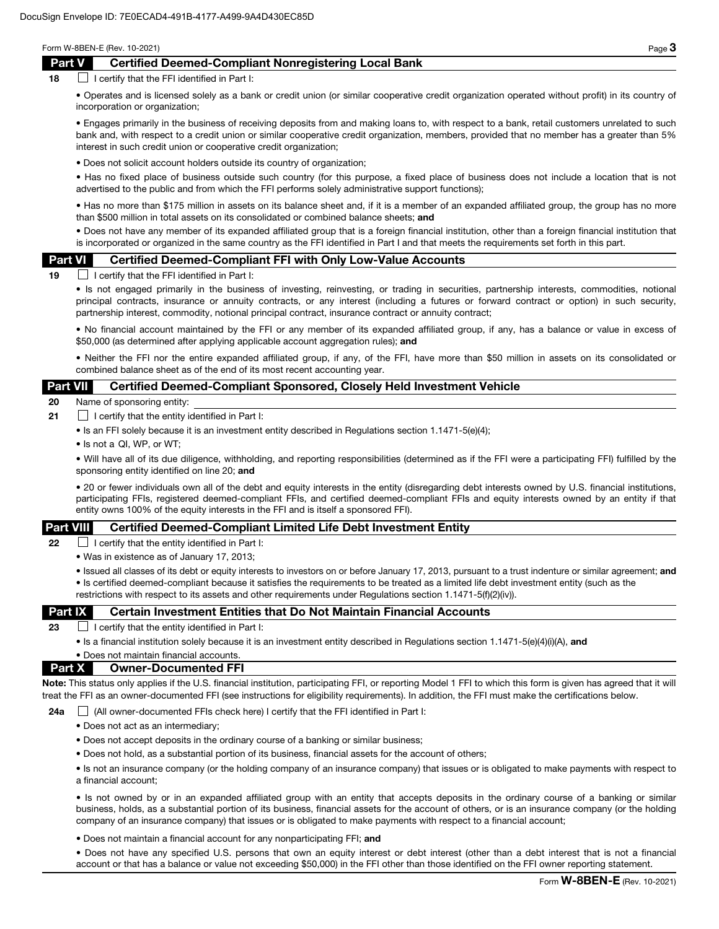## Part V Certified Deemed-Compliant Nonregistering Local Bank

 $18$  I certify that the FFI identified in Part I:

• Operates and is licensed solely as a bank or credit union (or similar cooperative credit organization operated without profit) in its country of incorporation or organization;

• Engages primarily in the business of receiving deposits from and making loans to, with respect to a bank, retail customers unrelated to such bank and, with respect to a credit union or similar cooperative credit organization, members, provided that no member has a greater than 5% interest in such credit union or cooperative credit organization;

• Does not solicit account holders outside its country of organization;

• Has no fixed place of business outside such country (for this purpose, a fixed place of business does not include a location that is not advertised to the public and from which the FFI performs solely administrative support functions);

• Has no more than \$175 million in assets on its balance sheet and, if it is a member of an expanded affiliated group, the group has no more than \$500 million in total assets on its consolidated or combined balance sheets; and

• Does not have any member of its expanded affiliated group that is a foreign financial institution, other than a foreign financial institution that is incorporated or organized in the same country as the FFI identified in Part I and that meets the requirements set forth in this part.

#### Part VI Certified Deemed-Compliant FFI with Only Low-Value Accounts

 $19$  I certify that the FFI identified in Part I:

• Is not engaged primarily in the business of investing, reinvesting, or trading in securities, partnership interests, commodities, notional principal contracts, insurance or annuity contracts, or any interest (including a futures or forward contract or option) in such security, partnership interest, commodity, notional principal contract, insurance contract or annuity contract;

• No financial account maintained by the FFI or any member of its expanded affiliated group, if any, has a balance or value in excess of \$50,000 (as determined after applying applicable account aggregation rules); and

• Neither the FFI nor the entire expanded affiliated group, if any, of the FFI, have more than \$50 million in assets on its consolidated or combined balance sheet as of the end of its most recent accounting year.

## Part VII Certified Deemed-Compliant Sponsored, Closely Held Investment Vehicle

20 Name of sponsoring entity:

- **21** I certify that the entity identified in Part I:
	- Is an FFI solely because it is an investment entity described in Regulations section 1.1471-5(e)(4);
	- Is not a QI, WP, or WT;

• Will have all of its due diligence, withholding, and reporting responsibilities (determined as if the FFI were a participating FFI) fulfilled by the sponsoring entity identified on line 20; and

• 20 or fewer individuals own all of the debt and equity interests in the entity (disregarding debt interests owned by U.S. financial institutions, participating FFIs, registered deemed-compliant FFIs, and certified deemed-compliant FFIs and equity interests owned by an entity if that entity owns 100% of the equity interests in the FFI and is itself a sponsored FFI).

## Part VIII Certified Deemed-Compliant Limited Life Debt Investment Entity

**22**  $\Box$  I certify that the entity identified in Part I:

• Was in existence as of January 17, 2013;

• Issued all classes of its debt or equity interests to investors on or before January 17, 2013, pursuant to a trust indenture or similar agreement; and • Is certified deemed-compliant because it satisfies the requirements to be treated as a limited life debt investment entity (such as the restrictions with respect to its assets and other requirements under Regulations section 1.1471-5(f)(2)(iv)).

## **Part IX** Certain Investment Entities that Do Not Maintain Financial Accounts

23  $\Box$  I certify that the entity identified in Part I:

• Is a financial institution solely because it is an investment entity described in Regulations section 1.1471-5(e)(4)(i)(A), and

## • Does not maintain financial accounts. Part X Owner-Documented FFI

Note: This status only applies if the U.S. financial institution, participating FFI, or reporting Model 1 FFI to which this form is given has agreed that it will treat the FFI as an owner-documented FFI (see instructions for eligibility requirements). In addition, the FFI must make the certifications below.

24a  $\Box$  (All owner-documented FFIs check here) I certify that the FFI identified in Part I:

- Does not act as an intermediary;
- Does not accept deposits in the ordinary course of a banking or similar business;
- Does not hold, as a substantial portion of its business, financial assets for the account of others;

• Is not an insurance company (or the holding company of an insurance company) that issues or is obligated to make payments with respect to a financial account;

• Is not owned by or in an expanded affiliated group with an entity that accepts deposits in the ordinary course of a banking or similar business, holds, as a substantial portion of its business, financial assets for the account of others, or is an insurance company (or the holding company of an insurance company) that issues or is obligated to make payments with respect to a financial account;

• Does not maintain a financial account for any nonparticipating FFI; and

• Does not have any specified U.S. persons that own an equity interest or debt interest (other than a debt interest that is not a financial account or that has a balance or value not exceeding \$50,000) in the FFI other than those identified on the FFI owner reporting statement.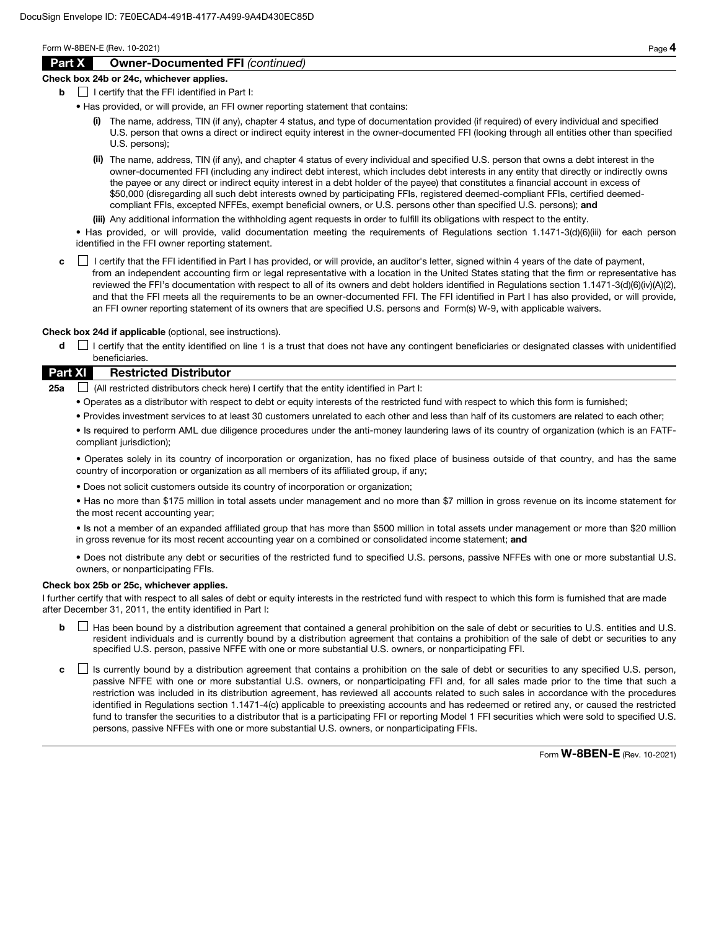# Part X Owner-Documented FFI *(continued)*

#### Check box 24b or 24c, whichever applies.

 $\mathbf{b}$  | I certify that the FFI identified in Part I:

- Has provided, or will provide, an FFI owner reporting statement that contains:
	- (i) The name, address, TIN (if any), chapter 4 status, and type of documentation provided (if required) of every individual and specified U.S. person that owns a direct or indirect equity interest in the owner-documented FFI (looking through all entities other than specified U.S. persons);
	- (ii) The name, address, TIN (if any), and chapter 4 status of every individual and specified U.S. person that owns a debt interest in the owner-documented FFI (including any indirect debt interest, which includes debt interests in any entity that directly or indirectly owns the payee or any direct or indirect equity interest in a debt holder of the payee) that constitutes a financial account in excess of \$50,000 (disregarding all such debt interests owned by participating FFIs, registered deemed-compliant FFIs, certified deemedcompliant FFIs, excepted NFFEs, exempt beneficial owners, or U.S. persons other than specified U.S. persons); and
	- (iii) Any additional information the withholding agent requests in order to fulfill its obligations with respect to the entity.

• Has provided, or will provide, valid documentation meeting the requirements of Regulations section 1.1471-3(d)(6)(iii) for each person identified in the FFI owner reporting statement.

c **I** certify that the FFI identified in Part I has provided, or will provide, an auditor's letter, signed within 4 years of the date of payment, from an independent accounting firm or legal representative with a location in the United States stating that the firm or representative has reviewed the FFI's documentation with respect to all of its owners and debt holders identified in Regulations section 1.1471-3(d)(6)(iv)(A)(2), and that the FFI meets all the requirements to be an owner-documented FFI. The FFI identified in Part I has also provided, or will provide, an FFI owner reporting statement of its owners that are specified U.S. persons and Form(s) W-9, with applicable waivers.

Check box 24d if applicable (optional, see instructions).

d  $\Box$  I certify that the entity identified on line 1 is a trust that does not have any contingent beneficiaries or designated classes with unidentified beneficiaries.

## Part XI Restricted Distributor

**25a**  $\Box$  (All restricted distributors check here) I certify that the entity identified in Part I:

- Operates as a distributor with respect to debt or equity interests of the restricted fund with respect to which this form is furnished;
- Provides investment services to at least 30 customers unrelated to each other and less than half of its customers are related to each other;

• Is required to perform AML due diligence procedures under the anti-money laundering laws of its country of organization (which is an FATFcompliant jurisdiction);

• Operates solely in its country of incorporation or organization, has no fixed place of business outside of that country, and has the same country of incorporation or organization as all members of its affiliated group, if any;

• Does not solicit customers outside its country of incorporation or organization;

• Has no more than \$175 million in total assets under management and no more than \$7 million in gross revenue on its income statement for the most recent accounting year;

• Is not a member of an expanded affiliated group that has more than \$500 million in total assets under management or more than \$20 million in gross revenue for its most recent accounting year on a combined or consolidated income statement; and

• Does not distribute any debt or securities of the restricted fund to specified U.S. persons, passive NFFEs with one or more substantial U.S. owners, or nonparticipating FFIs.

#### Check box 25b or 25c, whichever applies.

I further certify that with respect to all sales of debt or equity interests in the restricted fund with respect to which this form is furnished that are made after December 31, 2011, the entity identified in Part I:

- **b**  $\Box$  Has been bound by a distribution agreement that contained a general prohibition on the sale of debt or securities to U.S. entities and U.S. resident individuals and is currently bound by a distribution agreement that contains a prohibition of the sale of debt or securities to any specified U.S. person, passive NFFE with one or more substantial U.S. owners, or nonparticipating FFI.
- c  $\Box$  Is currently bound by a distribution agreement that contains a prohibition on the sale of debt or securities to any specified U.S. person, passive NFFE with one or more substantial U.S. owners, or nonparticipating FFI and, for all sales made prior to the time that such a restriction was included in its distribution agreement, has reviewed all accounts related to such sales in accordance with the procedures identified in Regulations section 1.1471-4(c) applicable to preexisting accounts and has redeemed or retired any, or caused the restricted fund to transfer the securities to a distributor that is a participating FFI or reporting Model 1 FFI securities which were sold to specified U.S. persons, passive NFFEs with one or more substantial U.S. owners, or nonparticipating FFIs.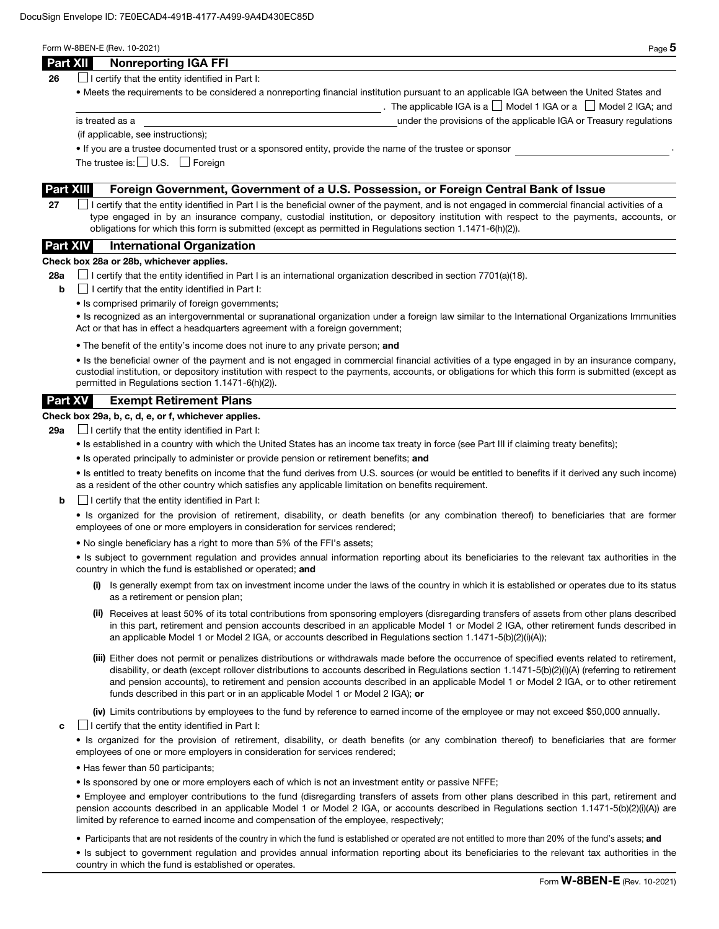| × |
|---|
| ۹ |

The applicable IGA is a  $\Box$  Model 1 IGA or a  $\Box$  Model 2 IGA; and

| Part XII | <b>Nonreporting IGA FFI</b> |  |  |  |
|----------|-----------------------------|--|--|--|
|----------|-----------------------------|--|--|--|

**26**  $\Box$  I certify that the entity identified in Part I:

• Meets the requirements to be considered a nonreporting financial institution pursuant to an applicable IGA between the United States and

is treated as a under the provisions of the applicable IGA or Treasury regulations

(if applicable, see instructions);

• If you are a trustee documented trust or a sponsored entity, provide the name of the trustee or sponsor .

The trustee is:  $\Box$  U.S.  $\Box$  Foreign

## Part XIII Foreign Government, Government of a U.S. Possession, or Foreign Central Bank of Issue

27  $\Box$  I certify that the entity identified in Part I is the beneficial owner of the payment, and is not engaged in commercial financial activities of a type engaged in by an insurance company, custodial institution, or depository institution with respect to the payments, accounts, or obligations for which this form is submitted (except as permitted in Regulations section 1.1471-6(h)(2)).

# Part XIV International Organization

#### Check box 28a or 28b, whichever applies.

28a  $\Box$  I certify that the entity identified in Part I is an international organization described in section 7701(a)(18).

- $\mathbf{b}$   $\Box$  I certify that the entity identified in Part I:
	- Is comprised primarily of foreign governments;

• Is recognized as an intergovernmental or supranational organization under a foreign law similar to the International Organizations Immunities Act or that has in effect a headquarters agreement with a foreign government;

• The benefit of the entity's income does not inure to any private person; and

• Is the beneficial owner of the payment and is not engaged in commercial financial activities of a type engaged in by an insurance company, custodial institution, or depository institution with respect to the payments, accounts, or obligations for which this form is submitted (except as permitted in Regulations section 1.1471-6(h)(2)).

# Part XV Exempt Retirement Plans

# Check box 29a, b, c, d, e, or f, whichever applies.

**29a**  $\Box$  I certify that the entity identified in Part I:

- Is established in a country with which the United States has an income tax treaty in force (see Part III if claiming treaty benefits);
- Is operated principally to administer or provide pension or retirement benefits; and

• Is entitled to treaty benefits on income that the fund derives from U.S. sources (or would be entitled to benefits if it derived any such income) as a resident of the other country which satisfies any applicable limitation on benefits requirement.

 $\mathbf{b}$   $\Box$  I certify that the entity identified in Part I:

• Is organized for the provision of retirement, disability, or death benefits (or any combination thereof) to beneficiaries that are former employees of one or more employers in consideration for services rendered;

• No single beneficiary has a right to more than 5% of the FFI's assets;

• Is subject to government regulation and provides annual information reporting about its beneficiaries to the relevant tax authorities in the country in which the fund is established or operated; and

- (i) Is generally exempt from tax on investment income under the laws of the country in which it is established or operates due to its status as a retirement or pension plan;
- (ii) Receives at least 50% of its total contributions from sponsoring employers (disregarding transfers of assets from other plans described in this part, retirement and pension accounts described in an applicable Model 1 or Model 2 IGA, other retirement funds described in an applicable Model 1 or Model 2 IGA, or accounts described in Regulations section 1.1471-5(b)(2)(i)(A));
- (iii) Either does not permit or penalizes distributions or withdrawals made before the occurrence of specified events related to retirement, disability, or death (except rollover distributions to accounts described in Regulations section 1.1471-5(b)(2)(i)(A) (referring to retirement and pension accounts), to retirement and pension accounts described in an applicable Model 1 or Model 2 IGA, or to other retirement funds described in this part or in an applicable Model 1 or Model 2 IGA); or

(iv) Limits contributions by employees to the fund by reference to earned income of the employee or may not exceed \$50,000 annually.

 $\mathbf{c}$   $\Box$  I certify that the entity identified in Part I:

• Is organized for the provision of retirement, disability, or death benefits (or any combination thereof) to beneficiaries that are former employees of one or more employers in consideration for services rendered;

- Has fewer than 50 participants;
- Is sponsored by one or more employers each of which is not an investment entity or passive NFFE;

• Employee and employer contributions to the fund (disregarding transfers of assets from other plans described in this part, retirement and pension accounts described in an applicable Model 1 or Model 2 IGA, or accounts described in Regulations section 1.1471-5(b)(2)(i)(A)) are limited by reference to earned income and compensation of the employee, respectively;

• Participants that are not residents of the country in which the fund is established or operated are not entitled to more than 20% of the fund's assets; and

• Is subject to government regulation and provides annual information reporting about its beneficiaries to the relevant tax authorities in the country in which the fund is established or operates.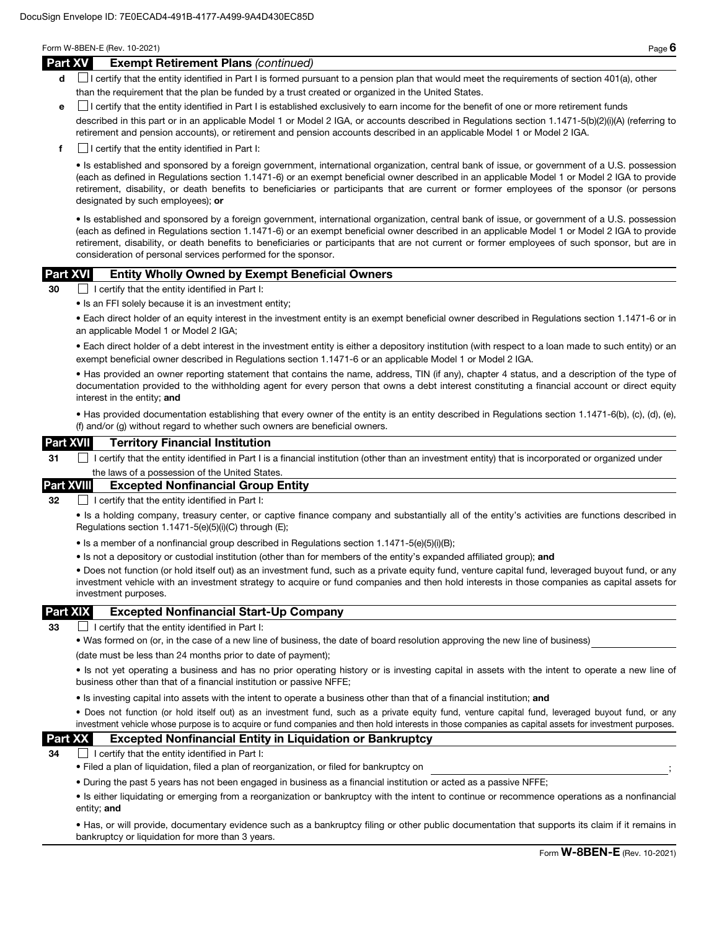#### Part XV Exempt Retirement Plans *(continued)*

- d **I** certify that the entity identified in Part I is formed pursuant to a pension plan that would meet the requirements of section 401(a), other than the requirement that the plan be funded by a trust created or organized in the United States.
- e I certify that the entity identified in Part I is established exclusively to earn income for the benefit of one or more retirement funds

described in this part or in an applicable Model 1 or Model 2 IGA, or accounts described in Regulations section 1.1471-5(b)(2)(i)(A) (referring to retirement and pension accounts), or retirement and pension accounts described in an applicable Model 1 or Model 2 IGA.

 $\mathbf{f}$  I certify that the entity identified in Part I:

• Is established and sponsored by a foreign government, international organization, central bank of issue, or government of a U.S. possession (each as defined in Regulations section 1.1471-6) or an exempt beneficial owner described in an applicable Model 1 or Model 2 IGA to provide retirement, disability, or death benefits to beneficiaries or participants that are current or former employees of the sponsor (or persons designated by such employees); or

• Is established and sponsored by a foreign government, international organization, central bank of issue, or government of a U.S. possession (each as defined in Regulations section 1.1471-6) or an exempt beneficial owner described in an applicable Model 1 or Model 2 IGA to provide retirement, disability, or death benefits to beneficiaries or participants that are not current or former employees of such sponsor, but are in consideration of personal services performed for the sponsor.

## Part XVI Entity Wholly Owned by Exempt Beneficial Owners

30 I certify that the entity identified in Part I:

• Is an FFI solely because it is an investment entity;

• Each direct holder of an equity interest in the investment entity is an exempt beneficial owner described in Regulations section 1.1471-6 or in an applicable Model 1 or Model 2 IGA;

• Each direct holder of a debt interest in the investment entity is either a depository institution (with respect to a loan made to such entity) or an exempt beneficial owner described in Regulations section 1.1471-6 or an applicable Model 1 or Model 2 IGA.

• Has provided an owner reporting statement that contains the name, address, TIN (if any), chapter 4 status, and a description of the type of documentation provided to the withholding agent for every person that owns a debt interest constituting a financial account or direct equity interest in the entity; and

• Has provided documentation establishing that every owner of the entity is an entity described in Regulations section 1.1471-6(b), (c), (d), (e), (f) and/or (g) without regard to whether such owners are beneficial owners.

## Part XVII Territory Financial Institution

31 I certify that the entity identified in Part I is a financial institution (other than an investment entity) that is incorporated or organized under the laws of a possession of the United States

## Part XVIII Excepted Nonfinancial Group Entity

32 **I certify that the entity identified in Part I:** 

• Is a holding company, treasury center, or captive finance company and substantially all of the entity's activities are functions described in Regulations section 1.1471-5(e)(5)(i)(C) through (E);

- Is a member of a nonfinancial group described in Regulations section 1.1471-5(e)(5)(i)(B);
- Is not a depository or custodial institution (other than for members of the entity's expanded affiliated group); and

• Does not function (or hold itself out) as an investment fund, such as a private equity fund, venture capital fund, leveraged buyout fund, or any investment vehicle with an investment strategy to acquire or fund companies and then hold interests in those companies as capital assets for investment purposes.

## Part XIX Excepted Nonfinancial Start-Up Company

33  $\Box$  I certify that the entity identified in Part I:

• Was formed on (or, in the case of a new line of business, the date of board resolution approving the new line of business)

(date must be less than 24 months prior to date of payment);

• Is not yet operating a business and has no prior operating history or is investing capital in assets with the intent to operate a new line of business other than that of a financial institution or passive NFFE;

• Is investing capital into assets with the intent to operate a business other than that of a financial institution; and

• Does not function (or hold itself out) as an investment fund, such as a private equity fund, venture capital fund, leveraged buyout fund, or any investment vehicle whose purpose is to acquire or fund companies and then hold interests in those companies as capital assets for investment purposes.

## Part XX Excepted Nonfinancial Entity in Liquidation or Bankruptcy

 $34$   $\Box$  I certify that the entity identified in Part I:

- Filed a plan of liquidation, filed a plan of reorganization, or filed for bankruptcy on ;
- During the past 5 years has not been engaged in business as a financial institution or acted as a passive NFFE;

• Is either liquidating or emerging from a reorganization or bankruptcy with the intent to continue or recommence operations as a nonfinancial entity; and

• Has, or will provide, documentary evidence such as a bankruptcy filing or other public documentation that supports its claim if it remains in bankruptcy or liquidation for more than 3 years.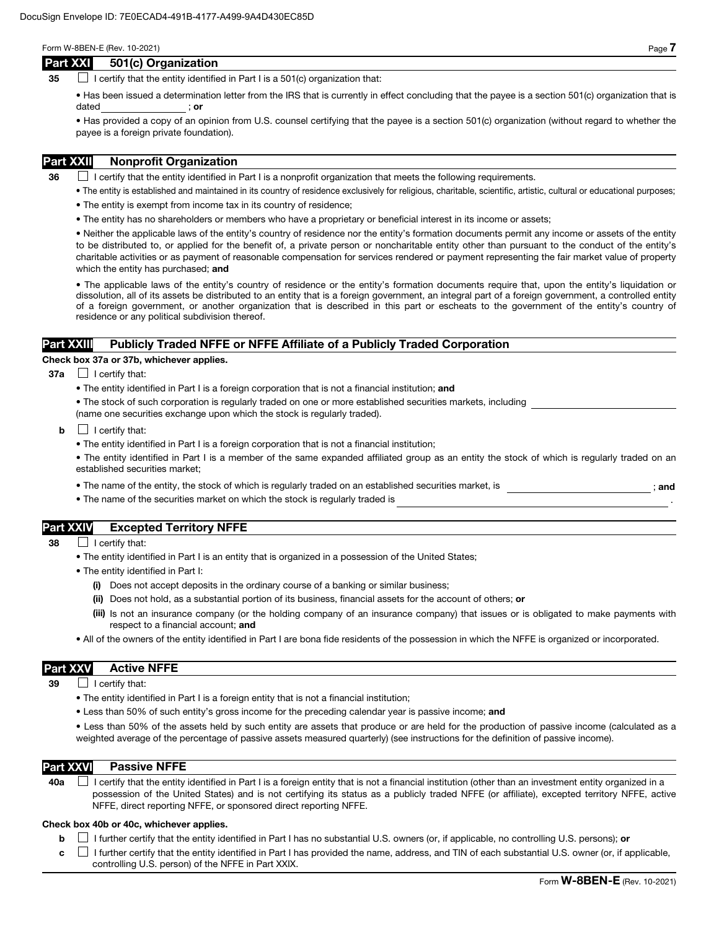## Part XXI 501(c) Organization

35  $\Box$  I certify that the entity identified in Part I is a 501(c) organization that:

• Has been issued a determination letter from the IRS that is currently in effect concluding that the payee is a section 501(c) organization that is dated ; or

• Has provided a copy of an opinion from U.S. counsel certifying that the payee is a section 501(c) organization (without regard to whether the payee is a foreign private foundation).

# Part XXII Nonprofit Organization

 $36$  I certify that the entity identified in Part I is a nonprofit organization that meets the following requirements.

- The entity is established and maintained in its country of residence exclusively for religious, charitable, scientific, artistic, cultural or educational purposes;
- The entity is exempt from income tax in its country of residence;
- The entity has no shareholders or members who have a proprietary or beneficial interest in its income or assets;

• Neither the applicable laws of the entity's country of residence nor the entity's formation documents permit any income or assets of the entity to be distributed to, or applied for the benefit of, a private person or noncharitable entity other than pursuant to the conduct of the entity's charitable activities or as payment of reasonable compensation for services rendered or payment representing the fair market value of property which the entity has purchased; and

• The applicable laws of the entity's country of residence or the entity's formation documents require that, upon the entity's liquidation or dissolution, all of its assets be distributed to an entity that is a foreign government, an integral part of a foreign government, a controlled entity of a foreign government, or another organization that is described in this part or escheats to the government of the entity's country of residence or any political subdivision thereof.

## Part XXIII Publicly Traded NFFE or NFFE Affiliate of a Publicly Traded Corporation

#### Check box 37a or 37b, whichever applies.

- $37a$  | certify that:
	- The entity identified in Part I is a foreign corporation that is not a financial institution; and
	- The stock of such corporation is regularly traded on one or more established securities markets, including (name one securities exchange upon which the stock is regularly traded).
	- $\mathbf{b}$   $\Box$  I certify that:
		- The entity identified in Part I is a foreign corporation that is not a financial institution;
		- The entity identified in Part I is a member of the same expanded affiliated group as an entity the stock of which is regularly traded on an established securities market;
		- The name of the entity, the stock of which is regularly traded on an established securities market, is  $\cdot$  ; and
		- The name of the securities market on which the stock is regularly traded is

# Part XXIV Excepted Territory NFFE

- 38 **I** certify that:
	- The entity identified in Part I is an entity that is organized in a possession of the United States;
	- The entity identified in Part I:
		- (i) Does not accept deposits in the ordinary course of a banking or similar business;
		- (ii) Does not hold, as a substantial portion of its business, financial assets for the account of others; or
		- (iii) Is not an insurance company (or the holding company of an insurance company) that issues or is obligated to make payments with respect to a financial account; and
	- All of the owners of the entity identified in Part I are bona fide residents of the possession in which the NFFE is organized or incorporated.

## Part XXV Active NFFE

 $39$  | I certify that:

- The entity identified in Part I is a foreign entity that is not a financial institution;
- Less than 50% of such entity's gross income for the preceding calendar year is passive income; and

• Less than 50% of the assets held by such entity are assets that produce or are held for the production of passive income (calculated as a weighted average of the percentage of passive assets measured quarterly) (see instructions for the definition of passive income).

#### Part XXVI Passive NFFE

40a  $\Box$  I certify that the entity identified in Part I is a foreign entity that is not a financial institution (other than an investment entity organized in a possession of the United States) and is not certifying its status as a publicly traded NFFE (or affiliate), excepted territory NFFE, active NFFE, direct reporting NFFE, or sponsored direct reporting NFFE.

#### Check box 40b or 40c, whichever applies.

**b**  $\Box$  I further certify that the entity identified in Part I has no substantial U.S. owners (or, if applicable, no controlling U.S. persons); or

 $c \perp$  I further certify that the entity identified in Part I has provided the name, address, and TIN of each substantial U.S. owner (or, if applicable, controlling U.S. person) of the NFFE in Part XXIX.